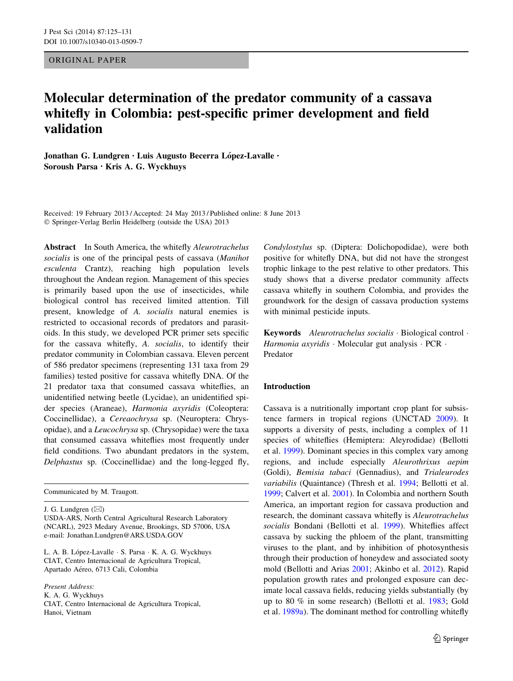ORIGINAL PAPER

# Molecular determination of the predator community of a cassava whitefly in Colombia: pest-specific primer development and field validation

Jonathan G. Lundgren · Luis Augusto Becerra López-Lavalle · Soroush Parsa • Kris A. G. Wyckhuys

Received: 19 February 2013 / Accepted: 24 May 2013 / Published online: 8 June 2013 - Springer-Verlag Berlin Heidelberg (outside the USA) 2013

Abstract In South America, the whitefly Aleurotrachelus socialis is one of the principal pests of cassava (Manihot esculenta Crantz), reaching high population levels throughout the Andean region. Management of this species is primarily based upon the use of insecticides, while biological control has received limited attention. Till present, knowledge of A. socialis natural enemies is restricted to occasional records of predators and parasitoids. In this study, we developed PCR primer sets specific for the cassava whitefly, A. socialis, to identify their predator community in Colombian cassava. Eleven percent of 586 predator specimens (representing 131 taxa from 29 families) tested positive for cassava whitefly DNA. Of the 21 predator taxa that consumed cassava whiteflies, an unidentified netwing beetle (Lycidae), an unidentified spider species (Araneae), Harmonia axyridis (Coleoptera: Coccinellidae), a Cereaochrysa sp. (Neuroptera: Chrysopidae), and a Leucochrysa sp. (Chrysopidae) were the taxa that consumed cassava whiteflies most frequently under field conditions. Two abundant predators in the system, Delphastus sp. (Coccinellidae) and the long-legged fly,

Communicated by M. Traugott.

J. G. Lundgren  $(\boxtimes)$ 

USDA-ARS, North Central Agricultural Research Laboratory (NCARL), 2923 Medary Avenue, Brookings, SD 57006, USA e-mail: Jonathan.Lundgren@ARS.USDA.GOV

L. A. B. López-Lavalle · S. Parsa · K. A. G. Wyckhuys CIAT, Centro Internacional de Agricultura Tropical, Apartado Aéreo, 6713 Cali, Colombia

Present Address: K. A. G. Wyckhuys CIAT, Centro Internacional de Agricultura Tropical, Hanoi, Vietnam

Condylostylus sp. (Diptera: Dolichopodidae), were both positive for whitefly DNA, but did not have the strongest trophic linkage to the pest relative to other predators. This study shows that a diverse predator community affects cassava whitefly in southern Colombia, and provides the groundwork for the design of cassava production systems with minimal pesticide inputs.

Keywords Aleurotrachelus socialis · Biological control · Harmonia axyridis · Molecular gut analysis · PCR · Predator

### Introduction

Cassava is a nutritionally important crop plant for subsistence farmers in tropical regions (UNCTAD [2009](#page-6-0)). It supports a diversity of pests, including a complex of 11 species of whiteflies (Hemiptera: Aleyrodidae) (Bellotti et al. [1999\)](#page-6-0). Dominant species in this complex vary among regions, and include especially Aleurothrixus aepim (Goldi), Bemisia tabaci (Gennadius), and Trialeurodes variabilis (Quaintance) (Thresh et al. [1994](#page-6-0); Bellotti et al. [1999](#page-6-0); Calvert et al. [2001\)](#page-6-0). In Colombia and northern South America, an important region for cassava production and research, the dominant cassava whitefly is Aleurotrachelus socialis Bondani (Bellotti et al. [1999\)](#page-6-0). Whiteflies affect cassava by sucking the phloem of the plant, transmitting viruses to the plant, and by inhibition of photosynthesis through their production of honeydew and associated sooty mold (Bellotti and Arias [2001;](#page-6-0) Akinbo et al. [2012](#page-5-0)). Rapid population growth rates and prolonged exposure can decimate local cassava fields, reducing yields substantially (by up to 80 % in some research) (Bellotti et al. [1983](#page-6-0); Gold et al. [1989a](#page-6-0)). The dominant method for controlling whitefly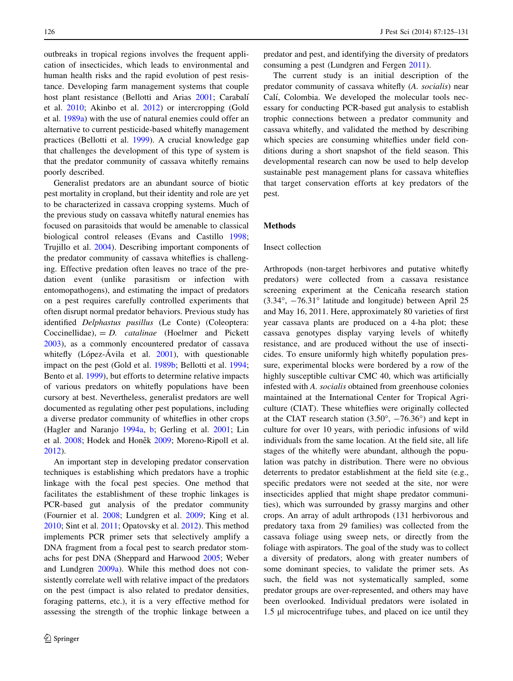outbreaks in tropical regions involves the frequent application of insecticides, which leads to environmental and human health risks and the rapid evolution of pest resistance. Developing farm management systems that couple host plant resistance (Bellotti and Arias [2001](#page-6-0); Carabalí et al. [2010](#page-6-0); Akinbo et al. [2012](#page-5-0)) or intercropping (Gold et al. [1989a\)](#page-6-0) with the use of natural enemies could offer an alternative to current pesticide-based whitefly management practices (Bellotti et al. [1999\)](#page-6-0). A crucial knowledge gap that challenges the development of this type of system is that the predator community of cassava whitefly remains poorly described.

Generalist predators are an abundant source of biotic pest mortality in cropland, but their identity and role are yet to be characterized in cassava cropping systems. Much of the previous study on cassava whitefly natural enemies has focused on parasitoids that would be amenable to classical biological control releases (Evans and Castillo [1998](#page-6-0); Trujillo et al. [2004](#page-6-0)). Describing important components of the predator community of cassava whiteflies is challenging. Effective predation often leaves no trace of the predation event (unlike parasitism or infection with entomopathogens), and estimating the impact of predators on a pest requires carefully controlled experiments that often disrupt normal predator behaviors. Previous study has identified Delphastus pusillus (Le Conte) (Coleoptera: Coccinellidae),  $= D$ . *catalinae* (Hoelmer and Pickett [2003\)](#page-6-0), as a commonly encountered predator of cassava whitefly (López-Ávila et al.  $2001$ ), with questionable impact on the pest (Gold et al. [1989b;](#page-6-0) Bellotti et al. [1994](#page-6-0); Bento et al. [1999\)](#page-6-0), but efforts to determine relative impacts of various predators on whitefly populations have been cursory at best. Nevertheless, generalist predators are well documented as regulating other pest populations, including a diverse predator community of whiteflies in other crops (Hagler and Naranjo [1994a,](#page-6-0) [b;](#page-6-0) Gerling et al. [2001;](#page-6-0) Lin et al. [2008;](#page-6-0) Hodek and Honěk [2009;](#page-6-0) Moreno-Ripoll et al. [2012\)](#page-6-0).

An important step in developing predator conservation techniques is establishing which predators have a trophic linkage with the focal pest species. One method that facilitates the establishment of these trophic linkages is PCR-based gut analysis of the predator community (Fournier et al. [2008](#page-6-0); Lundgren et al. [2009;](#page-6-0) King et al. [2010;](#page-6-0) Sint et al. [2011](#page-6-0); Opatovsky et al. [2012](#page-6-0)). This method implements PCR primer sets that selectively amplify a DNA fragment from a focal pest to search predator stomachs for pest DNA (Sheppard and Harwood [2005;](#page-6-0) Weber and Lundgren [2009a\)](#page-6-0). While this method does not consistently correlate well with relative impact of the predators on the pest (impact is also related to predator densities, foraging patterns, etc.), it is a very effective method for assessing the strength of the trophic linkage between a

predator and pest, and identifying the diversity of predators consuming a pest (Lundgren and Fergen [2011\)](#page-6-0).

The current study is an initial description of the predator community of cassava whitefly (A. socialis) near Calí, Colombia. We developed the molecular tools necessary for conducting PCR-based gut analysis to establish trophic connections between a predator community and cassava whitefly, and validated the method by describing which species are consuming whiteflies under field conditions during a short snapshot of the field season. This developmental research can now be used to help develop sustainable pest management plans for cassava whiteflies that target conservation efforts at key predators of the pest.

#### Methods

#### Insect collection

Arthropods (non-target herbivores and putative whitefly predators) were collected from a cassava resistance screening experiment at the Cenicaña research station  $(3.34^{\circ}, -76.31^{\circ})$  latitude and longitude) between April 25 and May 16, 2011. Here, approximately 80 varieties of first year cassava plants are produced on a 4-ha plot; these cassava genotypes display varying levels of whitefly resistance, and are produced without the use of insecticides. To ensure uniformly high whitefly population pressure, experimental blocks were bordered by a row of the highly susceptible cultivar CMC 40, which was artificially infested with A. socialis obtained from greenhouse colonies maintained at the International Center for Tropical Agriculture (CIAT). These whiteflies were originally collected at the CIAT research station  $(3.50^{\circ}, -76.36^{\circ})$  and kept in culture for over 10 years, with periodic infusions of wild individuals from the same location. At the field site, all life stages of the whitefly were abundant, although the population was patchy in distribution. There were no obvious deterrents to predator establishment at the field site (e.g., specific predators were not seeded at the site, nor were insecticides applied that might shape predator communities), which was surrounded by grassy margins and other crops. An array of adult arthropods (131 herbivorous and predatory taxa from 29 families) was collected from the cassava foliage using sweep nets, or directly from the foliage with aspirators. The goal of the study was to collect a diversity of predators, along with greater numbers of some dominant species, to validate the primer sets. As such, the field was not systematically sampled, some predator groups are over-represented, and others may have been overlooked. Individual predators were isolated in 1.5 µl microcentrifuge tubes, and placed on ice until they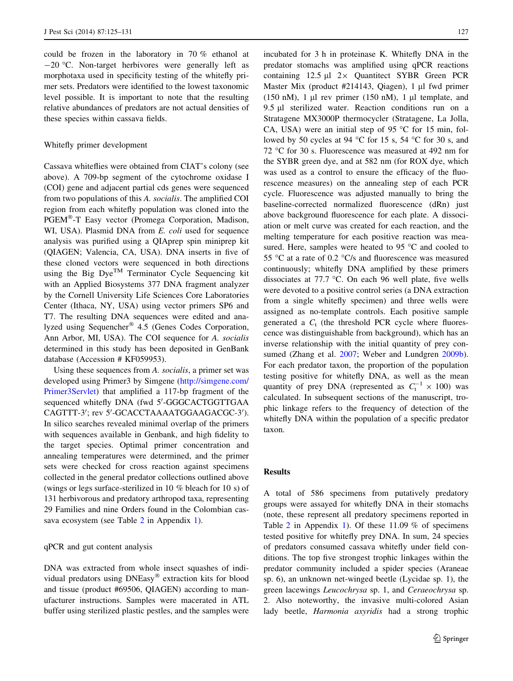could be frozen in the laboratory in 70 % ethanol at  $-20$  °C. Non-target herbivores were generally left as morphotaxa used in specificity testing of the whitefly primer sets. Predators were identified to the lowest taxonomic level possible. It is important to note that the resulting relative abundances of predators are not actual densities of these species within cassava fields.

# Whitefly primer development

Cassava whiteflies were obtained from CIAT's colony (see above). A 709-bp segment of the cytochrome oxidase I (COI) gene and adjacent partial cds genes were sequenced from two populations of this A. socialis. The amplified COI region from each whitefly population was cloned into the PGEM<sup>®</sup>-T Easy vector (Promega Corporation, Madison, WI, USA). Plasmid DNA from E. coli used for sequence analysis was purified using a QIAprep spin miniprep kit (QIAGEN; Valencia, CA, USA). DNA inserts in five of these cloned vectors were sequenced in both directions using the Big  $Dye^{TM}$  Terminator Cycle Sequencing kit with an Applied Biosystems 377 DNA fragment analyzer by the Cornell University Life Sciences Core Laboratories Center (Ithaca, NY, USA) using vector primers SP6 and T7. The resulting DNA sequences were edited and analyzed using Sequencher® 4.5 (Genes Codes Corporation, Ann Arbor, MI, USA). The COI sequence for A. socialis determined in this study has been deposited in GenBank database (Accession # KF059953).

Using these sequences from A. socialis, a primer set was developed using Primer3 by Simgene [\(http://simgene.com/](http://simgene.com/Primer3Servlet) [Primer3Servlet\)](http://simgene.com/Primer3Servlet) that amplified a 117-bp fragment of the sequenced whitefly DNA (fwd 5'-GGGCACTGGTTGAA CAGTTT-3'; rev 5'-GCACCTAAAATGGAAGACGC-3'). In silico searches revealed minimal overlap of the primers with sequences available in Genbank, and high fidelity to the target species. Optimal primer concentration and annealing temperatures were determined, and the primer sets were checked for cross reaction against specimens collected in the general predator collections outlined above (wings or legs surface-sterilized in 10 % bleach for 10 s) of 131 herbivorous and predatory arthropod taxa, representing 29 Families and nine Orders found in the Colombian cassava ecosystem (see Table [2](#page-4-0) in Appendix [1\)](#page-4-0).

#### qPCR and gut content analysis

DNA was extracted from whole insect squashes of individual predators using DNEasy<sup>®</sup> extraction kits for blood and tissue (product #69506, QIAGEN) according to manufacturer instructions. Samples were macerated in ATL buffer using sterilized plastic pestles, and the samples were incubated for 3 h in proteinase K. Whitefly DNA in the predator stomachs was amplified using qPCR reactions containing  $12.5 \text{ }\mu\text{l}$  2× Quantitect SYBR Green PCR Master Mix (product  $\#214143$ , Qiagen), 1 µl fwd primer (150 nM), 1  $\mu$ l rev primer (150 nM), 1  $\mu$ l template, and 9.5 µl sterilized water. Reaction conditions run on a Stratagene MX3000P thermocycler (Stratagene, La Jolla, CA, USA) were an initial step of 95  $\degree$ C for 15 min, followed by 50 cycles at 94 °C for 15 s, 54 °C for 30 s, and 72 °C for 30 s. Fluorescence was measured at 492 nm for the SYBR green dye, and at 582 nm (for ROX dye, which was used as a control to ensure the efficacy of the fluorescence measures) on the annealing step of each PCR cycle. Fluorescence was adjusted manually to bring the baseline-corrected normalized fluorescence (dRn) just above background fluorescence for each plate. A dissociation or melt curve was created for each reaction, and the melting temperature for each positive reaction was measured. Here, samples were heated to  $95^{\circ}$ C and cooled to 55 °C at a rate of 0.2 °C/s and fluorescence was measured continuously; whitefly DNA amplified by these primers dissociates at 77.7  $\degree$ C. On each 96 well plate, five wells were devoted to a positive control series (a DNA extraction from a single whitefly specimen) and three wells were assigned as no-template controls. Each positive sample generated a  $C<sub>t</sub>$  (the threshold PCR cycle where fluorescence was distinguishable from background), which has an inverse relationship with the initial quantity of prey consumed (Zhang et al. [2007](#page-6-0); Weber and Lundgren [2009b](#page-6-0)). For each predator taxon, the proportion of the population testing positive for whitefly DNA, as well as the mean quantity of prey DNA (represented as  $C_t^{-1} \times 100$ ) was calculated. In subsequent sections of the manuscript, trophic linkage refers to the frequency of detection of the whitefly DNA within the population of a specific predator taxon.

#### Results

A total of 586 specimens from putatively predatory groups were assayed for whitefly DNA in their stomachs (note, these represent all predatory specimens reported in Table [2](#page-4-0) in Appendix [1](#page-4-0)). Of these 11.09 % of specimens tested positive for whitefly prey DNA. In sum, 24 species of predators consumed cassava whitefly under field conditions. The top five strongest trophic linkages within the predator community included a spider species (Araneae sp. 6), an unknown net-winged beetle (Lycidae sp. 1), the green lacewings Leucochrysa sp. 1, and Ceraeochrysa sp. 2. Also noteworthy, the invasive multi-colored Asian lady beetle, Harmonia axyridis had a strong trophic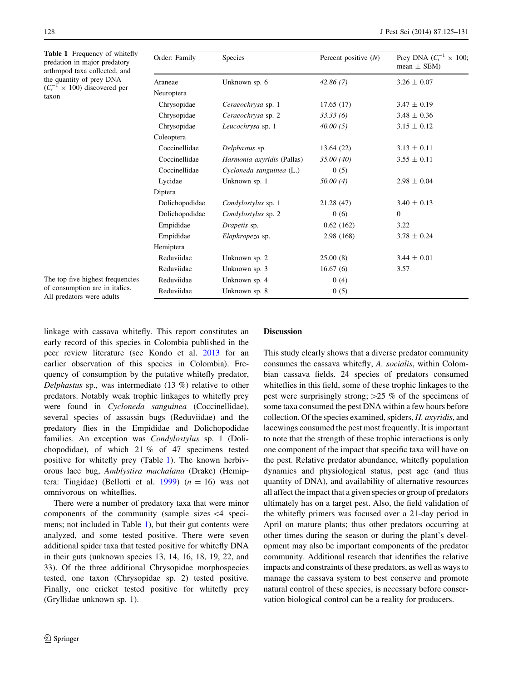<span id="page-3-0"></span>Table 1 Frequency of whitefly predation in major predatory arthropod taxa collected, and the quantity of prey DNA  $(C_t^{-1} \times 100)$  discovered per taxon

| Order: Family  | <b>Species</b>             | Percent positive $(N)$ | Prey DNA $(C_t^{-1} \times 100)$ ;<br>mean $\pm$ SEM) |
|----------------|----------------------------|------------------------|-------------------------------------------------------|
| Araneae        | Unknown sp. 6              | 42.86(7)               | $3.26 \pm 0.07$                                       |
| Neuroptera     |                            |                        |                                                       |
| Chrysopidae    | Ceraeochrysa sp. 1         | 17.65(17)              | $3.47 \pm 0.19$                                       |
| Chrysopidae    | Ceraeochrysa sp. 2         | 33.33(6)               | $3.48 \pm 0.36$                                       |
| Chrysopidae    | Leucochrysa sp. 1          | 40.00(5)               | $3.15 \pm 0.12$                                       |
| Coleoptera     |                            |                        |                                                       |
| Coccinellidae  | Delphastus sp.             | 13.64 (22)             | $3.13 \pm 0.11$                                       |
| Coccinellidae  | Harmonia axyridis (Pallas) | 35.00 (40)             | $3.55 \pm 0.11$                                       |
| Coccinellidae  | Cycloneda sanguinea (L.)   | 0(5)                   |                                                       |
| Lycidae        | Unknown sp. 1              | 50.00(4)               | $2.98 \pm 0.04$                                       |
| Diptera        |                            |                        |                                                       |
| Dolichopodidae | Condylostylus sp. 1        | 21.28 (47)             | $3.40 \pm 0.13$                                       |
| Dolichopodidae | Condylostylus sp. 2        | 0(6)                   | $\mathbf{0}$                                          |
| Empididae      | Drapetis sp.               | 0.62(162)              | 3.22                                                  |
| Empididae      | Elaphropeza sp.            | 2.98 (168)             | $3.78 \pm 0.24$                                       |
| Hemiptera      |                            |                        |                                                       |
| Reduviidae     | Unknown sp. 2              | 25.00(8)               | $3.44 \pm 0.01$                                       |
| Reduviidae     | Unknown sp. 3              | 16.67(6)               | 3.57                                                  |
| Reduviidae     | Unknown sp. 4              | 0(4)                   |                                                       |
| Reduviidae     | Unknown sp. 8              | 0(5)                   |                                                       |

The top five highest frequencies of consumption are in italics. All predators were adults

linkage with cassava whitefly. This report constitutes an early record of this species in Colombia published in the peer review literature (see Kondo et al. [2013](#page-6-0) for an earlier observation of this species in Colombia). Frequency of consumption by the putative whitefly predator, Delphastus sp., was intermediate (13 %) relative to other predators. Notably weak trophic linkages to whitefly prey were found in Cycloneda sanguinea (Coccinellidae), several species of assassin bugs (Reduviidae) and the predatory flies in the Empididae and Dolichopodidae families. An exception was Condylostylus sp. 1 (Dolichopodidae), of which 21 % of 47 specimens tested positive for whitefly prey (Table 1). The known herbivorous lace bug, Amblystira machalana (Drake) (Hemip-tera: Tingidae) (Bellotti et al. [1999](#page-6-0))  $(n = 16)$  was not omnivorous on whiteflies.

There were a number of predatory taxa that were minor components of the community (sample sizes  $\leq 4$  specimens; not included in Table 1), but their gut contents were analyzed, and some tested positive. There were seven additional spider taxa that tested positive for whitefly DNA in their guts (unknown species 13, 14, 16, 18, 19, 22, and 33). Of the three additional Chrysopidae morphospecies tested, one taxon (Chrysopidae sp. 2) tested positive. Finally, one cricket tested positive for whitefly prey (Gryllidae unknown sp. 1).

#### **Discussion**

This study clearly shows that a diverse predator community consumes the cassava whitefly, A. socialis, within Colombian cassava fields. 24 species of predators consumed whiteflies in this field, some of these trophic linkages to the pest were surprisingly strong;  $>25$  % of the specimens of some taxa consumed the pest DNA within a few hours before collection. Of the species examined, spiders, H. axyridis, and lacewings consumed the pest most frequently. It is important to note that the strength of these trophic interactions is only one component of the impact that specific taxa will have on the pest. Relative predator abundance, whitefly population dynamics and physiological status, pest age (and thus quantity of DNA), and availability of alternative resources all affect the impact that a given species or group of predators ultimately has on a target pest. Also, the field validation of the whitefly primers was focused over a 21-day period in April on mature plants; thus other predators occurring at other times during the season or during the plant's development may also be important components of the predator community. Additional research that identifies the relative impacts and constraints of these predators, as well as ways to manage the cassava system to best conserve and promote natural control of these species, is necessary before conservation biological control can be a reality for producers.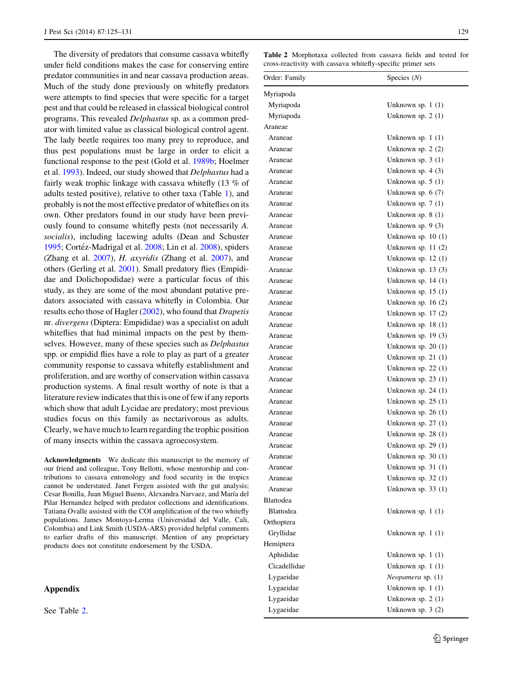<span id="page-4-0"></span>The diversity of predators that consume cassava whitefly under field conditions makes the case for conserving entire predator communities in and near cassava production areas. Much of the study done previously on whitefly predators were attempts to find species that were specific for a target pest and that could be released in classical biological control programs. This revealed Delphastus sp. as a common predator with limited value as classical biological control agent. The lady beetle requires too many prey to reproduce, and thus pest populations must be large in order to elicit a functional response to the pest (Gold et al. [1989b;](#page-6-0) Hoelmer et al. [1993](#page-6-0)). Indeed, our study showed that Delphastus had a fairly weak trophic linkage with cassava whitefly (13 % of adults tested positive), relative to other taxa (Table [1\)](#page-3-0), and probably is not the most effective predator of whiteflies on its own. Other predators found in our study have been previously found to consume whitefly pests (not necessarily A. socialis), including lacewing adults (Dean and Schuster [1995;](#page-6-0) Cortéz-Madrigal et al. [2008](#page-6-0); Lin et al. 2008), spiders (Zhang et al. [2007](#page-6-0)), H. axyridis (Zhang et al. [2007](#page-6-0)), and others (Gerling et al. [2001\)](#page-6-0). Small predatory flies (Empididae and Dolichopodidae) were a particular focus of this study, as they are some of the most abundant putative predators associated with cassava whitefly in Colombia. Our results echo those of Hagler [\(2002](#page-6-0)), who found that Drapetis nr. divergens (Diptera: Empididae) was a specialist on adult whiteflies that had minimal impacts on the pest by themselves. However, many of these species such as Delphastus spp. or empidid flies have a role to play as part of a greater community response to cassava whitefly establishment and proliferation, and are worthy of conservation within cassava production systems. A final result worthy of note is that a literature review indicates that this is one of few if any reports which show that adult Lycidae are predatory; most previous studies focus on this family as nectarivorous as adults. Clearly, we have much to learn regarding the trophic position of many insects within the cassava agroecosystem.

Acknowledgments We dedicate this manuscript to the memory of our friend and colleague, Tony Bellotti, whose mentorship and contributions to cassava entomology and food security in the tropics cannot be understated. Janet Fergen assisted with the gut analysis; Cesar Bonilla, Juan Miguel Bueno, Alexandra Narvaez, and María del Pilar Hernandez helped with predator collections and identifications. Tatiana Ovalle assisted with the COI amplification of the two whitefly populations. James Montoya-Lerma (Universidad del Valle, Cali, Colombia) and Link Smith (USDA-ARS) provided helpful comments to earlier drafts of this manuscript. Mention of any proprietary products does not constitute endorsement by the USDA.

# Appendix

See Table 2.

Table 2 Morphotaxa collected from cassava fields and tested for cross-reactivity with cassava whitefly-specific primer sets

| Order: Family | Species $(N)$       |  |
|---------------|---------------------|--|
| Myriapoda     |                     |  |
| Myriapoda     | Unknown sp. $1(1)$  |  |
| Myriapoda     | Unknown sp. $2(1)$  |  |
| Araneae       |                     |  |
| Araneae       | Unknown sp. $1(1)$  |  |
| Araneae       | Unknown sp. $2(2)$  |  |
| Araneae       | Unknown sp. 3 (1)   |  |
| Araneae       | Unknown sp. $4(3)$  |  |
| Araneae       | Unknown sp. $5(1)$  |  |
| Araneae       | Unknown sp. $6(7)$  |  |
| Araneae       | Unknown sp. $7(1)$  |  |
| Araneae       | Unknown sp. $8(1)$  |  |
| Araneae       | Unknown sp. $9(3)$  |  |
| Araneae       | Unknown sp. $10(1)$ |  |
| Araneae       | Unknown sp. $11(2)$ |  |
| Araneae       | Unknown sp. $12(1)$ |  |
| Araneae       | Unknown sp. $13(3)$ |  |
| Araneae       | Unknown sp. $14(1)$ |  |
| Araneae       | Unknown sp. $15(1)$ |  |
| Araneae       | Unknown sp. $16(2)$ |  |
| Araneae       | Unknown sp. $17(2)$ |  |
| Araneae       | Unknown sp. $18(1)$ |  |
| Araneae       | Unknown sp. 19 (3)  |  |
| Araneae       | Unknown sp. $20(1)$ |  |
| Araneae       | Unknown sp. $21(1)$ |  |
| Araneae       | Unknown sp. $22(1)$ |  |
| Araneae       | Unknown sp. $23(1)$ |  |
| Araneae       | Unknown sp. $24(1)$ |  |
| Araneae       | Unknown sp. $25(1)$ |  |
| Araneae       | Unknown sp. $26(1)$ |  |
| Araneae       | Unknown sp. $27(1)$ |  |
| Araneae       | Unknown sp. $28(1)$ |  |
| Araneae       | Unknown sp. $29(1)$ |  |
| Araneae       | Unknown sp. 30 (1)  |  |
| Araneae       | Unknown sp. $31(1)$ |  |
| Araneae       | Unknown sp. 32 (1)  |  |
| Araneae       | Unknown sp. 33 (1)  |  |
| Blattodea     |                     |  |
| Blattodea     | Unknown sp. $1(1)$  |  |
| Orthoptera    |                     |  |
| Gryllidae     | Unknown sp. $1(1)$  |  |
| Hemiptera     |                     |  |
| Aphididae     | Unknown sp. $1(1)$  |  |
| Cicadellidae  | Unknown sp. $1(1)$  |  |
| Lygaeidae     | Neopamera sp. (1)   |  |
| Lygaeidae     | Unknown sp. $1(1)$  |  |
| Lygaeidae     | Unknown sp. $2(1)$  |  |
| Lygaeidae     | Unknown sp. $3(2)$  |  |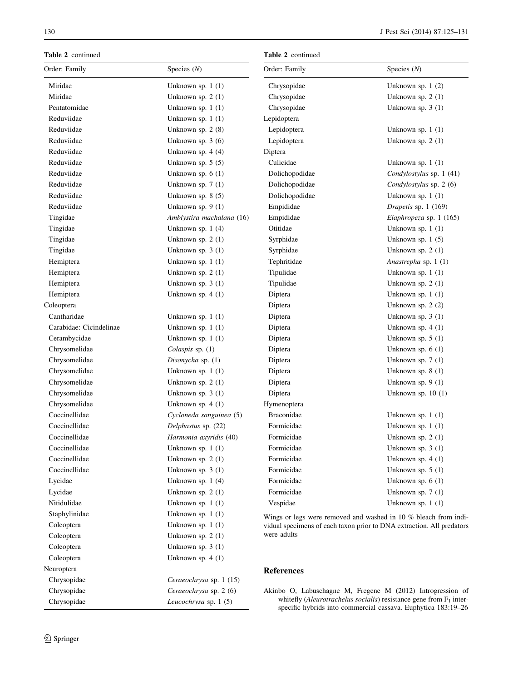<span id="page-5-0"></span>Table 2 continued

| Table 2 continued       |                           | Table 2 continued                                                                                                                                       |                          |  |
|-------------------------|---------------------------|---------------------------------------------------------------------------------------------------------------------------------------------------------|--------------------------|--|
| Order: Family           | Species $(N)$             | Order: Family                                                                                                                                           | Species $(N)$            |  |
| Miridae                 | Unknown sp. 1 (1)         | Chrysopidae                                                                                                                                             | Unknown sp. $1(2)$       |  |
| Miridae                 | Unknown sp. $2(1)$        | Chrysopidae                                                                                                                                             | Unknown sp. $2(1)$       |  |
| Pentatomidae            | Unknown sp. $1(1)$        | Chrysopidae                                                                                                                                             | Unknown sp. $3(1)$       |  |
| Reduviidae              | Unknown sp. $1(1)$        | Lepidoptera                                                                                                                                             |                          |  |
| Reduviidae              | Unknown sp. $2(8)$        | Lepidoptera                                                                                                                                             | Unknown sp. $1(1)$       |  |
| Reduviidae              | Unknown sp. $3(6)$        | Lepidoptera                                                                                                                                             | Unknown sp. $2(1)$       |  |
| Reduviidae              | Unknown sp. $4(4)$        | Diptera                                                                                                                                                 |                          |  |
| Reduviidae              | Unknown sp. $5(5)$        | Culicidae                                                                                                                                               | Unknown sp. $1(1)$       |  |
| Reduviidae              | Unknown sp. $6(1)$        | Dolichopodidae                                                                                                                                          | Condylostylus sp. 1 (41) |  |
| Reduviidae              | Unknown sp. $7(1)$        | Dolichopodidae                                                                                                                                          | Condylostylus sp. 2 (6)  |  |
| Reduviidae              | Unknown sp. $8(5)$        | Dolichopodidae                                                                                                                                          | Unknown sp. $1(1)$       |  |
| Reduviidae              | Unknown sp. $9(1)$        | Empididae                                                                                                                                               | Drapetis sp. 1 (169)     |  |
| Tingidae                | Amblystira machalana (16) | Empididae                                                                                                                                               | Elaphropeza sp. 1 (165)  |  |
| Tingidae                | Unknown sp. $1(4)$        | Otitidae                                                                                                                                                | Unknown sp. $1(1)$       |  |
| Tingidae                | Unknown sp. $2(1)$        | Syrphidae                                                                                                                                               | Unknown sp. $1(5)$       |  |
| Tingidae                | Unknown sp. $3(1)$        | Syrphidae                                                                                                                                               | Unknown sp. $2(1)$       |  |
| Hemiptera               | Unknown sp. $1(1)$        | Tephritidae                                                                                                                                             | Anastrepha sp. 1 (1)     |  |
| Hemiptera               | Unknown sp. $2(1)$        | Tipulidae                                                                                                                                               | Unknown sp. $1(1)$       |  |
| Hemiptera               | Unknown sp. $3(1)$        | Tipulidae                                                                                                                                               | Unknown sp. 2 (1)        |  |
| Hemiptera               | Unknown sp. $4(1)$        | Diptera                                                                                                                                                 | Unknown sp. 1 (1)        |  |
| Coleoptera              |                           | Diptera                                                                                                                                                 | Unknown sp. $2(2)$       |  |
| Cantharidae             | Unknown sp. $1(1)$        | Diptera                                                                                                                                                 | Unknown sp. $3(1)$       |  |
| Carabidae: Cicindelinae | Unknown sp. $1(1)$        | Diptera                                                                                                                                                 | Unknown sp. $4(1)$       |  |
| Cerambycidae            | Unknown sp. $1(1)$        | Diptera                                                                                                                                                 | Unknown sp. $5(1)$       |  |
| Chrysomelidae           | Colaspis sp. (1)          | Diptera                                                                                                                                                 | Unknown sp. $6(1)$       |  |
| Chrysomelidae           | Disonycha sp. (1)         | Diptera                                                                                                                                                 | Unknown sp. $7(1)$       |  |
| Chrysomelidae           | Unknown sp. 1 (1)         | Diptera                                                                                                                                                 | Unknown sp. 8 (1)        |  |
| Chrysomelidae           | Unknown sp. $2(1)$        | Diptera                                                                                                                                                 | Unknown sp. $9(1)$       |  |
| Chrysomelidae           | Unknown sp. $3(1)$        | Diptera                                                                                                                                                 | Unknown sp. $10(1)$      |  |
| Chrysomelidae           | Unknown sp. $4(1)$        | Hymenoptera                                                                                                                                             |                          |  |
| Coccinellidae           | Cycloneda sanguinea (5)   | <b>Braconidae</b>                                                                                                                                       | Unknown sp. $1(1)$       |  |
| Coccinellidae           | Delphastus sp. (22)       | Formicidae                                                                                                                                              | Unknown sp. $1(1)$       |  |
| Coccinellidae           | Harmonia axyridis (40)    | Formicidae                                                                                                                                              | Unknown sp. $2(1)$       |  |
| Coccinellidae           | Unknown sp. $1(1)$        | Formicidae                                                                                                                                              | Unknown sp. $3(1)$       |  |
| Coccinellidae           | Unknown sp. $2(1)$        | Formicidae                                                                                                                                              | Unknown sp. $4(1)$       |  |
| Coccinellidae           | Unknown sp. $3(1)$        | Formicidae                                                                                                                                              | Unknown sp. $5(1)$       |  |
| Lycidae                 | Unknown sp. $1(4)$        | Formicidae                                                                                                                                              | Unknown sp. $6(1)$       |  |
| Lycidae                 | Unknown sp. $2(1)$        | Formicidae                                                                                                                                              | Unknown sp. $7(1)$       |  |
| Nitidulidae             | Unknown sp. $1(1)$        | Vespidae                                                                                                                                                | Unknown sp. $1(1)$       |  |
| Staphylinidae           | Unknown sp. $1(1)$        | Wings or legs were removed and washed in 10 % bleach from indi-<br>vidual specimens of each taxon prior to DNA extraction. All predators<br>were adults |                          |  |
| Coleoptera              | Unknown sp. $1(1)$        |                                                                                                                                                         |                          |  |
| Coleoptera              | Unknown sp. $2(1)$        |                                                                                                                                                         |                          |  |
| Coleoptera              | Unknown sp. $3(1)$        |                                                                                                                                                         |                          |  |
| Coleoptera              | Unknown sp. $4(1)$        |                                                                                                                                                         |                          |  |

# References

Akinbo O, Labuschagne M, Fregene M (2012) Introgression of whitefly (Aleurotrachelus socialis) resistance gene from  $F_1$  interspecific hybrids into commercial cassava. Euphytica 183:19–26

Neuroptera

Chrysopidae Ceraeochrysa sp. 1 (15) Chrysopidae Ceraeochrysa sp. 2 (6) Chrysopidae Leucochrysa sp. 1 (5)